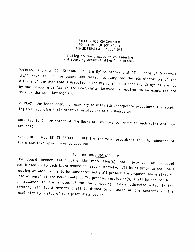# STOCKBRIDGE CONDOMINIUM<br>POLICY RESOLUTION NO. 3 ADMINISTRATIVE RESOLUTIONS

# relating to the process of considering and adopting Administrative Resolutions

WHEREAS, Article III, Section 1 of the Bylaws states that "The Board of Directors<br>shall have all of the powers and duties necessary for the administration of the<br>affairs of the Unit Owners Association and may do all such a by affairs of the Unit Owners Association and may do all such acts and things as are not<br>by the Condominium Act or the Condominium Instruments required to be exercised and<br>done by the Association;" and

WHEREAS, the Board deems it necessary to establish appropriate procedures for adopt-<br>ing and recording Administrative Resolutions of the Board: and

WHEREAS, it is the intent of the Board of Directors to institute such rules and pro-<br>cedures:

NOW, THEREFORE, BE IT RESOLVED THAT the following procedures for the adoption of<br>Administrative Resolutions be adopted:

### I. PROCEDURE FOR ADOPTION

The Board member introducing the resolution(s) shall provide the proposed meeting at which it is to be considered and shall present the proposed Administrative resolution(s) to each Board member at least seventy-two (72) hours prior to the Board Resolution(s) at the Board meeting. The proposed resent the proposed Administrative or attached to the minutes of the Board meeting. Unless otherwise noted in the at the Board meeting. The proposed resolution(s) shall be set forth in minutes, or attached to the minutes of the Board meeting. Unless otherwise noted in the<br>minutes, all Board members shall be deemed to be aware of the contents of the<br>resolution by virtue of such prior distribution. DUREREAS, Article UII, Sections Compositions in 2012.<br>
WellingthRillingthRillingth in Exchangement of the Process of considering<br>
Wellingth is charge of the Byland scheme of the Byland scheme of the Byland scheme of the B

 $I-11$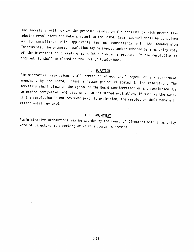The secretary will review the proposed resolution for consistency with previouslyadopted resolutions and make a report to the Board. Legal counsel shall be consulted Instruments. The proposed resolution may be amended and/or adopted by a majority vote of the Directors at a meeting at which a quorum is present. If the resolution is adopted, it shall be placed in the Book of Resolutions. as to compliance with applicable law and consistency with the Condominium

II. DURATION<br>Administrative Resolutions shall remain in effect until repeal or any subsequent Administrative Resolutions shall remain in effect until repeal or any subsequent<br>amendment by the Board, unless a lesser period is stated in the resolution. The<br>secretary shall place on the agenda of the Board consideratio If the resolution is not reviewed prior to expiration, the resolution shall remain in effect until reviewed.

### III. AMENDMENT

Administrative Resolutions may be amended by the Board of Directors with a majority vote of Directors at <sup>a</sup> meeting at which <sup>a</sup> quorum is present. III. <u>AMENDMENT</u><br>Administrative Resolutions may be amended by the Board of Directors with a majority<br>vote of Directors at a meeting at which a quorum is present.